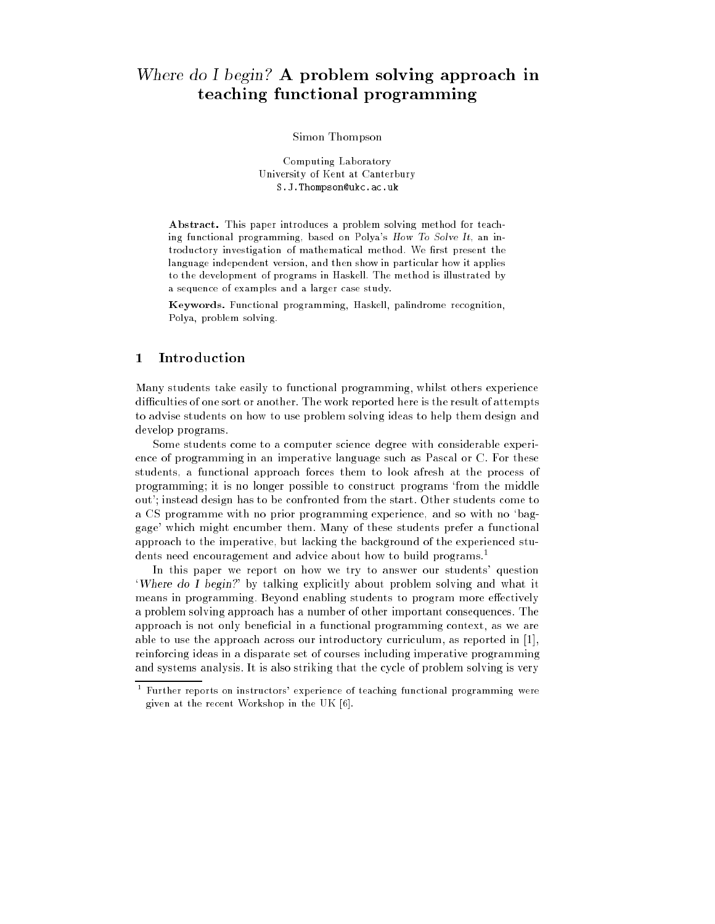# Where do I begins a problem solving approach in the solving teaching functional programming

Simon Thompson

Computing Laboratory University of Kent at Canterbury S.J.Thompson@ukc.ac.uk

Abstract. This paper introduces a problem solving method for teaching functional programming, based on Polya's How To Solve It, an introductory investigation of mathematical method. We first present the language independent version, and then show in particular how it applies to the development of programs in Haskell. The method is illustrated by a sequence of examples and a larger case study.

Keywords. Functional programming, Haskell, palindrome recognition, Polya, problem solving.

#### $\mathbf{1}$ Introduction

Many students take easily to functional programming, whilst others experience difficulties of one sort or another. The work reported here is the result of attempts to advise students on how to use problem solving ideas to help them design and develop programs.

Some students come to a computer science degree with considerable experience of programming in an imperative language such as Pascal or C. For these students, a functional approach forces them to look afresh at the process of programming; it is no longer possible to construct programs `from the middle out'; instead design has to be confronted from the start. Other students come to a CS programme with no prior programming experience, and so with no `baggage' which might encumber them. Many of these students prefer a functional approach to the imperative, but lacking the background of the experienced students need encouragement and advice about how to build programs.<sup>1</sup>

In this paper we report on how we try to answer our students' question `Where do <sup>I</sup> begin?' by talking explicitly about problem solving and what it means in programming. Beyond enabling students to program more effectively a problem solving approach has a number of other important consequences. The approach is not only beneficial in a functional programming context, as we are able to use the approach across our introductory curriculum, as reported in [1], reinforcing ideas in a disparate set of courses including imperative programming and systems analysis. It is also striking that the cycle of problem solving is very

Further reports on instructors' experience of teaching functional programming were given at the recent Workshop in the UK [6].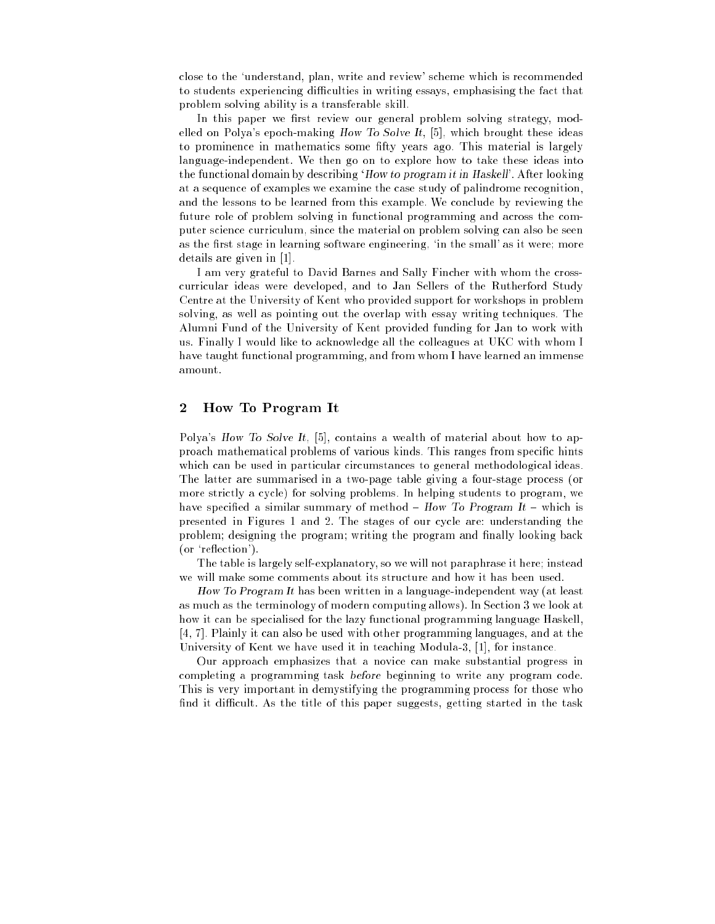close to the `understand, plan, write and review' scheme which is recommended to students experiencing difficulties in writing essays, emphasising the fact that problem solving ability is a transferable skill.

In this paper we first review our general problem solving strategy, modelled on Polya's epoch-making How To Solve It, [5], which brought these ideas to prominence in mathematics some fifty years ago. This material is largely language-independent. We then go on to explore how to take these ideas into the functional domain by describing 'How to program it in Haskell'. After looking at a sequence of examples we examine the case study of palindrome recognition, and the lessons to be learned from this example. We conclude by reviewing the future role of problem solving in functional programming and across the computer science curriculum, since the material on problem solving can also be seen as the first stage in learning software engineering, 'in the small' as it were; more details are given in [1].

I am very grateful to David Barnes and Sally Fincher with whom the crosscurricular ideas were developed, and to Jan Sellers of the Rutherford Study Centre at the University of Kent who provided support for workshops in problem solving, as well as pointing out the overlap with essay writing techniques. The Alumni Fund of the University of Kent provided funding for Jan to work with us. Finally I would like to acknowledge all the colleagues at UKC with whom I have taught functional programming, and from whom I have learned an immense amount.

#### 2How To Program It

Polya's How To Solve It, [5], contains a wealth of material about how to approach mathematical problems of various kinds. This ranges from specic hints which can be used in particular circumstances to general methodological ideas. The latter are summarised in a two-page table giving a four-stage process (or more strictly a cycle) for solving problems. In helping students to program, we have specified a similar summary of method  $-$  How To Program It  $-$  which is presented in Figures 1 and 2. The stages of our cycle are: understanding the problem; designing the program; writing the program and finally looking back (or 'reflection').

The table is largely self-explanatory, so we will not paraphrase it here; instead we will make some comments about its structure and how it has been used.

How To Program It has been written in a language-independent way (at least as much as the terminology of modern computing allows). In Section 3 we look at how it can be specialised for the lazy functional programming language Haskell, [4, 7]. Plainly it can also be used with other programming languages, and at the University of Kent we have used it in teaching Modula-3, [1], for instance.

Our approach emphasizes that a novice can make substantial progress in completing a programming task before beginning to write any program code. This is very important in demystifying the programming process for those who find it difficult. As the title of this paper suggests, getting started in the task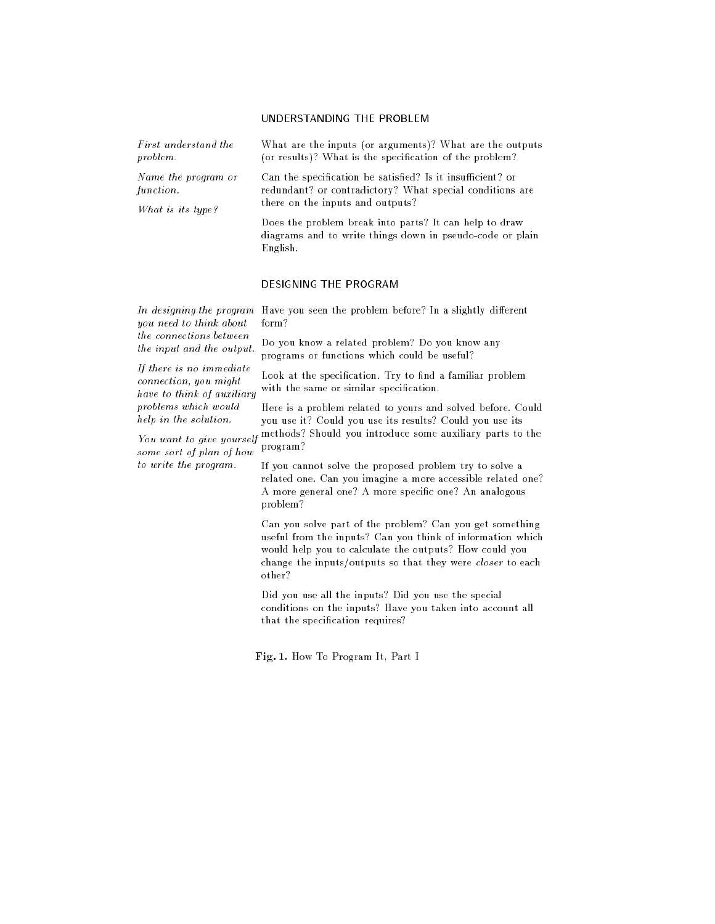## UNDERSTANDING THE PROBLEM

| First understand the<br>problem.                                                                                                                                                                                                                                                                                                  | What are the inputs (or arguments)? What are the outputs<br>(or results)? What is the specification of the problem?                                                                                                                                             |
|-----------------------------------------------------------------------------------------------------------------------------------------------------------------------------------------------------------------------------------------------------------------------------------------------------------------------------------|-----------------------------------------------------------------------------------------------------------------------------------------------------------------------------------------------------------------------------------------------------------------|
| Name the program or<br>function.<br>What is its type?                                                                                                                                                                                                                                                                             | Can the specification be satisfied? Is it insufficient? or<br>redundant? or contradictory? What special conditions are<br>there on the inputs and outputs?                                                                                                      |
|                                                                                                                                                                                                                                                                                                                                   | Does the problem break into parts? It can help to draw<br>diagrams and to write things down in pseudo-code or plain<br>English.                                                                                                                                 |
|                                                                                                                                                                                                                                                                                                                                   | DESIGNING THE PROGRAM                                                                                                                                                                                                                                           |
| In designing the program<br>you need to think about<br>the connections between<br>the input and the output.<br>If there is no immediate<br>connection, you might<br>have to think of auxiliary<br>problems which would<br>help in the solution.<br>You want to give yourself<br>some sort of plan of how<br>to write the program. | Have you seen the problem before? In a slightly different<br>form?                                                                                                                                                                                              |
|                                                                                                                                                                                                                                                                                                                                   | Do you know a related problem? Do you know any<br>programs or functions which could be useful?                                                                                                                                                                  |
|                                                                                                                                                                                                                                                                                                                                   | Look at the specification. Try to find a familiar problem<br>with the same or similar specification.                                                                                                                                                            |
|                                                                                                                                                                                                                                                                                                                                   | Here is a problem related to yours and solved before. Could<br>you use it? Could you use its results? Could you use its<br>methods? Should you introduce some auxiliary parts to the                                                                            |
|                                                                                                                                                                                                                                                                                                                                   | program?                                                                                                                                                                                                                                                        |
|                                                                                                                                                                                                                                                                                                                                   | If you cannot solve the proposed problem try to solve a<br>related one. Can you imagine a more accessible related one?<br>A more general one? A more specific one? An analogous<br>problem?                                                                     |
|                                                                                                                                                                                                                                                                                                                                   | Can you solve part of the problem? Can you get something<br>useful from the inputs? Can you think of information which<br>would help you to calculate the outputs? How could you<br>change the inputs/outputs so that they were <i>closer</i> to each<br>other? |
|                                                                                                                                                                                                                                                                                                                                   | Did you use all the inputs? Did you use the special<br>conditions on the inputs? Have you taken into account all<br>that the specification requires?                                                                                                            |

Fig. 1. How To Program It, Part I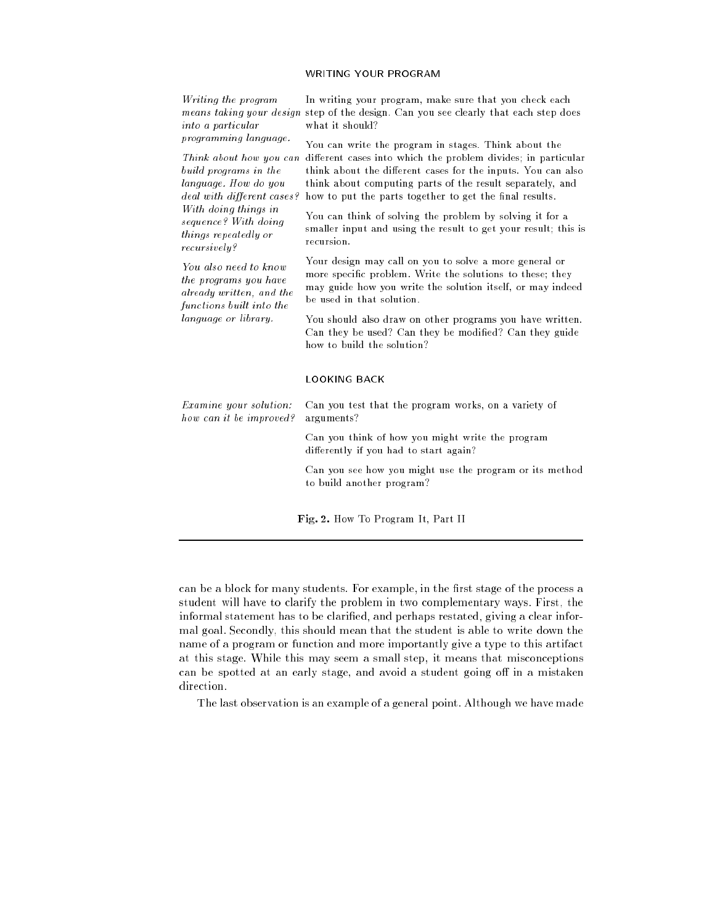#### WRITING YOUR PROGRAM

| <i>Writing the program</i><br>into a particular                                                                                                                                 | In writing your program, make sure that you check each<br><i>means taking your design</i> step of the design. Can you see clearly that each step does<br>what it should?                                                                                                                                                                                                                                                                    |  |
|---------------------------------------------------------------------------------------------------------------------------------------------------------------------------------|---------------------------------------------------------------------------------------------------------------------------------------------------------------------------------------------------------------------------------------------------------------------------------------------------------------------------------------------------------------------------------------------------------------------------------------------|--|
| programming language.<br>Think about how you can<br>build programs in the<br>language. How do you<br>deal with different cases?<br>With doing things in<br>sequence? With doing | You can write the program in stages. Think about the<br>different cases into which the problem divides; in particular<br>think about the different cases for the inputs. You can also<br>think about computing parts of the result separately, and<br>how to put the parts together to get the final results.<br>You can think of solving the problem by solving it for a<br>smaller input and using the result to get your result; this is |  |
| things repeatedly or<br>recursively?                                                                                                                                            | recursion.                                                                                                                                                                                                                                                                                                                                                                                                                                  |  |
| You also need to know<br>the programs you have<br>already written, and the<br>functions built into the                                                                          | Your design may call on you to solve a more general or<br>more specific problem. Write the solutions to these; they<br>may guide how you write the solution itself, or may indeed<br>be used in that solution.                                                                                                                                                                                                                              |  |
| language or library.                                                                                                                                                            | You should also draw on other programs you have written.<br>Can they be used? Can they be modified? Can they guide<br>how to build the solution?                                                                                                                                                                                                                                                                                            |  |
|                                                                                                                                                                                 | <b>LOOKING BACK</b>                                                                                                                                                                                                                                                                                                                                                                                                                         |  |
| <i>Examine your solution:</i><br>how can it be improved?                                                                                                                        | Can you test that the program works, on a variety of<br>arguments?                                                                                                                                                                                                                                                                                                                                                                          |  |
|                                                                                                                                                                                 | Can you think of how you might write the program<br>differently if you had to start again?                                                                                                                                                                                                                                                                                                                                                  |  |
|                                                                                                                                                                                 | Can you see how you might use the program or its method<br>to build another program?                                                                                                                                                                                                                                                                                                                                                        |  |
| Fig. 2. How To Program It, Part II                                                                                                                                              |                                                                                                                                                                                                                                                                                                                                                                                                                                             |  |

can be a block for many students. For example, in the first stage of the process a student will have to clarify the problem in two complementary ways. First, the informal statement has to be claried, and perhaps restated, giving a clear informal goal. Secondly, this should mean that the student is able to write down the name of a program or function and more importantly give a type to this artifact at this stage. While this may seem a small step, it means that misconceptions can be spotted at an early stage, and avoid a student going off in a mistaken direction.

The last observation is an example of a general point. Although we have made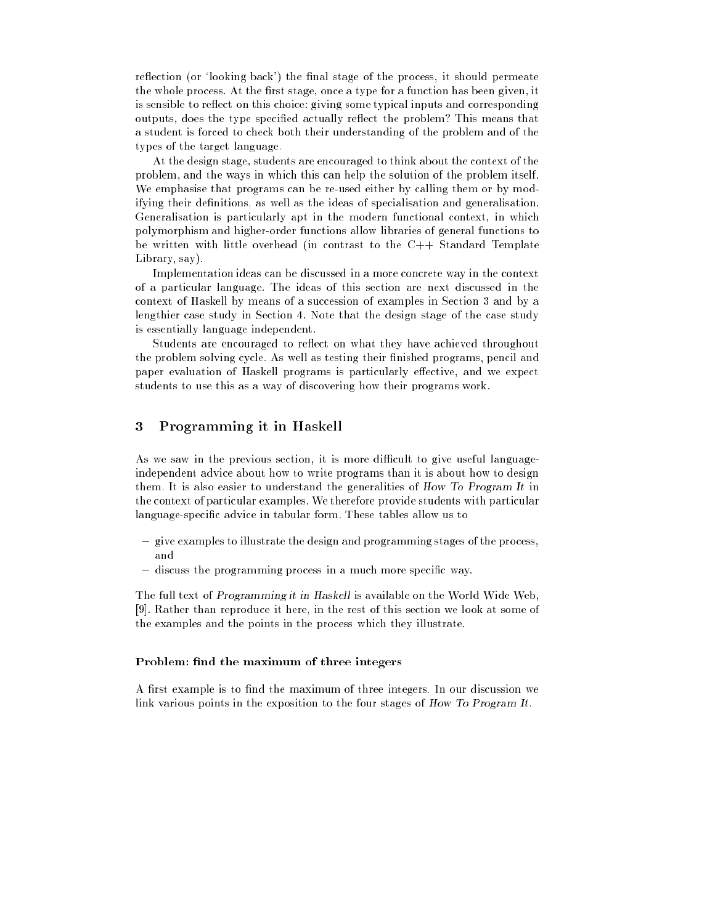reflection (or 'looking back') the final stage of the process, it should permeate the whole process. At the first stage, once a type for a function has been given, it is sensible to reflect on this choice: giving some typical inputs and corresponding outputs, does the type specified actually reflect the problem? This means that a student is forced to check both their understanding of the problem and of the types of the target language.

At the design stage, students are encouraged to think about the context of the problem, and the ways in which this can help the solution of the problem itself. We emphasise that programs can be re-used either by calling them or by modifying their definitions, as well as the ideas of specialisation and generalisation. Generalisation is particularly apt in the modern functional context, in which polymorphism and higher-order functions allow libraries of general functions to be written with little overhead (in contrast to the C++ Standard Template Library, say).

Implementation ideas can be discussed in a more concrete way in the context of a particular language. The ideas of this section are next discussed in the context of Haskell by means of a succession of examples in Section 3 and by a lengthier case study in Section 4. Note that the design stage of the case study is essentially language independent.

Students are encouraged to reflect on what they have achieved throughout the problem solving cycle. As well as testing their finished programs, pencil and paper evaluation of Haskell programs is particularly effective, and we expect students to use this as a way of discovering how their programs work.

#### 3Programming it in Haskell

As we saw in the previous section, it is more difficult to give useful languageindependent advice about how to write programs than it is about how to design them. It is also easier to understand the generalities of How To Program It in the context of particular examples. We therefore provide students with particular language-specic advice in tabular form. These tables allow us to

- $\mathbb{R}^2$  to indicate the distribution the design and programming stages of the process, and
- { discuss the programming process in a much more specic way.

The full text of Programming it in Haskell is available on the World Wide Web, [9]. Rather than reproduce it here, in the rest of this section we look at some of the examples and the points in the process which they illustrate.

#### Problem: find the maximum of three integers

A first example is to find the maximum of three integers. In our discussion we link various points in the exposition to the four stages of How To Program It.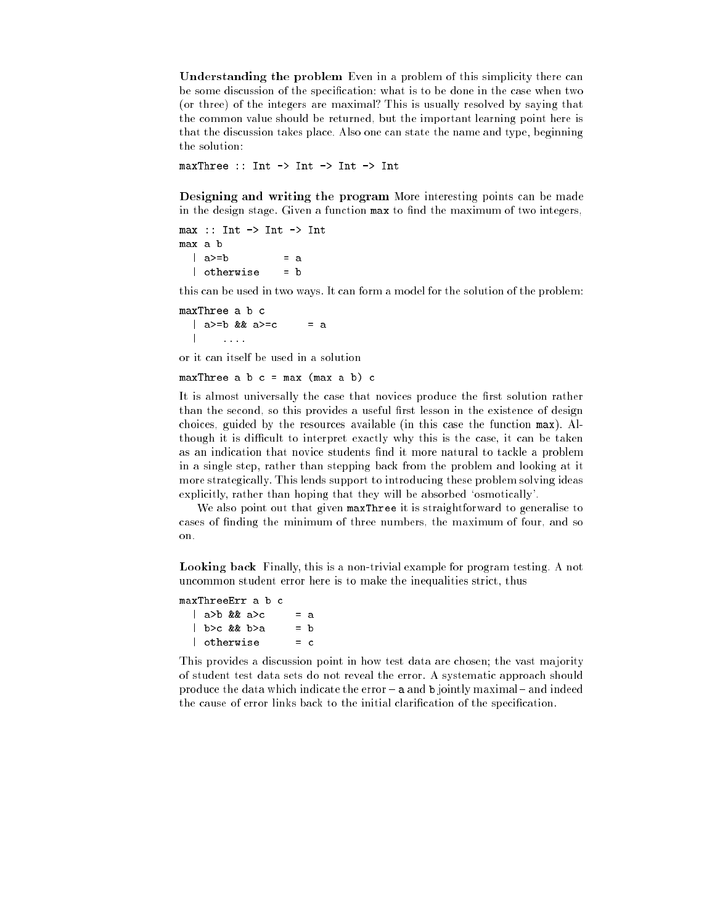Understanding the problem Even in a problem of this simplicity there can be some discussion of the specification: what is to be done in the case when two (or three) of the integers are maximal? This is usually resolved by saying that the common value should be returned, but the important learning point here is that the discussion takes place. Also one can state the name and type, beginning the solution:

maxThree :: Int -> Int -> Int -> Int

Designing and writing the program More interesting points can be made in the design stage. Given a function max to find the maximum of two integers,

max :: Int -> Int -> Int max a b  $|$  a>=b = a  $|$  otherwise  $= b$ 

this can be used in two ways. It can form a model for the solution of the problem:

maxThree a b c  $|$  a>=b && a>=c = a  $\mathbf{I}$  $\cdots$ | ....

or it can itself be used in a solution

maxThree a  $b \nc = max (max a b) c$ 

It is almost universally the case that novices produce the first solution rather than the second, so this provides a useful first lesson in the existence of design choices, guided by the resources available (in this case the function max). Although it is difficult to interpret exactly why this is the case, it can be taken as an indication that novice students find it more natural to tackle a problem in a single step, rather than stepping back from the problem and looking at it more strategically. This lends support to introducing these problem solving ideas explicitly, rather than hoping that they will be absorbed 'osmotically'.

We also point out that given maxThree it is straightforward to generalise to cases of finding the minimum of three numbers, the maximum of four, and so on.

Looking back Finally, this is a non-trivial example for program testing. A not uncommon student error here is to make the inequalities strict, thus

maxThreeErr a b c  $|$  a>b && a>c = a | b>c && b>a = b | otherwise = c

This provides a discussion point in how test data are chosen; the vast majority of student test data sets do not reveal the error. A systematic approach should produce the data which indicate the error  ${\bf -a}$  and b jointly maximal  ${\bf -a}$  and indeed the cause of error links back to the initial clarification of the specification.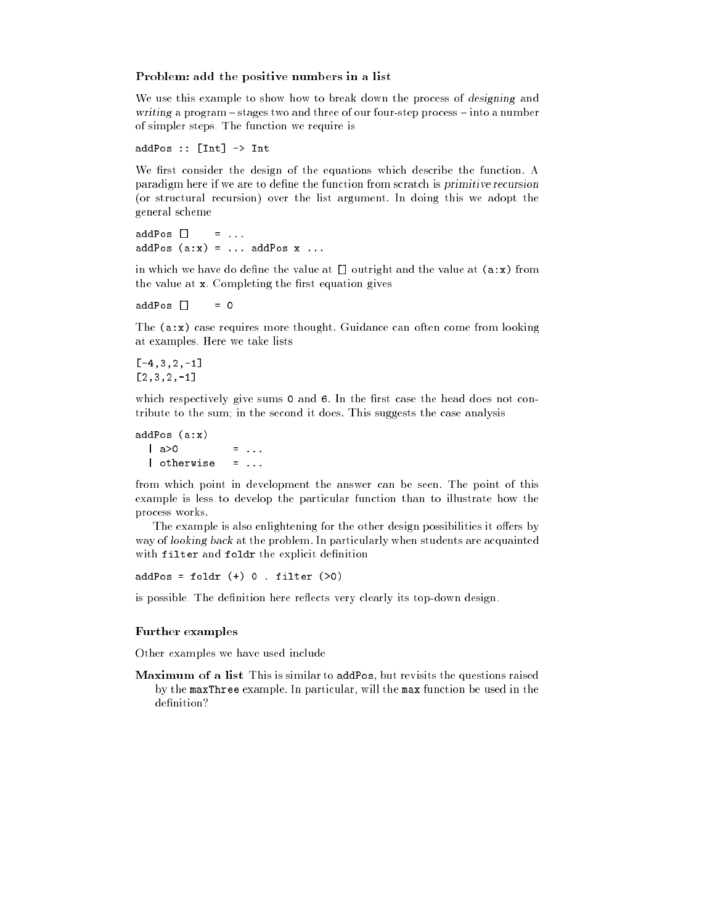#### Problem: add the positive numbers in a list

We use this example to show how to break down the process of *designing* and writing a program and three of our four-step is our four-step process. The number  ${\bf x}$ of simpler steps. The function we require is

addPos :: [Int] -> Int

We first consider the design of the equations which describe the function. A paradigm here if we are to define the function from scratch is primitive recursion (or structural recursion) over the list argument. In doing this we adopt the general scheme

```
addPos<sup>[]</sup>
                                        = \ldotsadditionally additionally in the contract of \mathbb{R} . The contract of \mathbb{R} is the contract of \mathbb{R} in the contract of \mathbb{R}addPos (a:x) = ... addPos x ...
```
in which we have do define the value at  $[]$  outright and the value at  $(a:x)$  from the value at  $x$ . Completing the first equation gives

```
added a decomposition of the contract of the contract of the contract of the contract of the contract of the c
```
The  $(a:x)$  case requires more thought. Guidance can often come from looking at examples. Here we take lists

```
[-4,3,2,-1][2,3,2,-1]
```
which respectively give sums 0 and 6. In the first case the head does not contribute to the sum; in the second it does. This suggests the case analysis

```
addPos (a:x)
 | a>0 = ...
 | otherwise = ...
```
from which point in development the answer can be seen. The point of this example is less to develop the particular function than to illustrate how the process works.

The example is also enlightening for the other design possibilities it offers by way of looking back at the problem. In particularly when students are acquainted with filter and foldr the explicit definition

 $addPos = foldr (+) 0$ . filter  $(>0)$ 

is possible. The definition here reflects very clearly its top-down design.

#### $E$  and there examples  $F$

Other examples we have used include

Maximum of a list This is similar to addPos, but revisits the questions raised by the maxThree example. In particular, will the max function be used in the definition?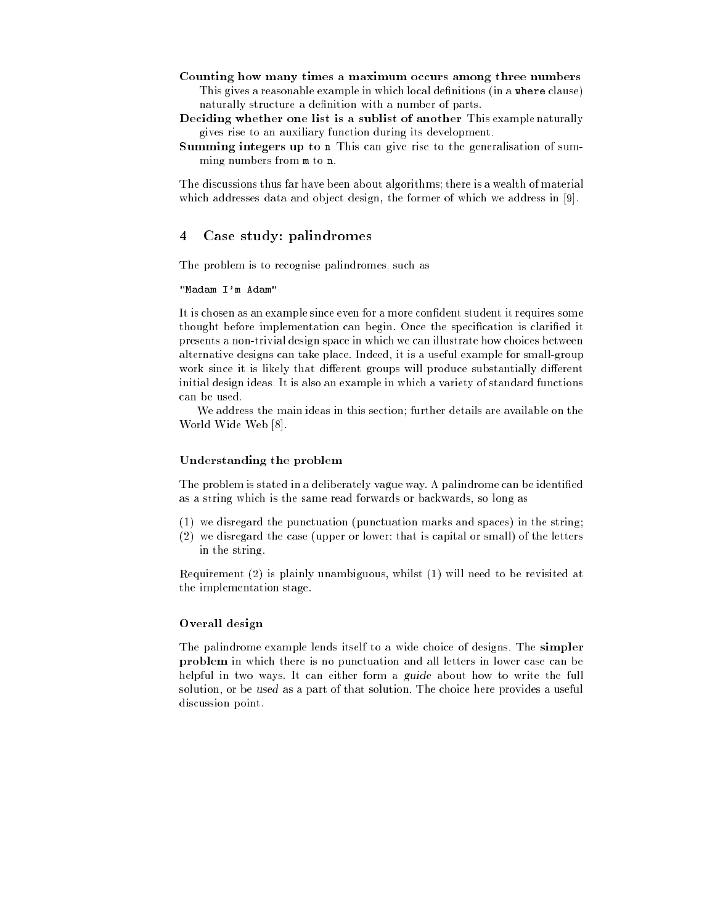- Counting how many times a maximum occurs among three numbers This gives a reasonable example in which local definitions (in a where clause) naturally structure a definition with a number of parts.
- Deciding whether one list is a sublist of another This example naturally gives rise to an auxiliary function during its development.
- Summing integers up to n This can give rise to the generalisation of summing numbers from m to n.

The discussions thus far have been about algorithms; there is a wealth of material which addresses data and object design, the former of which we address in [9].

# Case study: palindromes

The problem is to recognise palindromes, such as

### "Madam I'm Adam"

It is chosen as an example since even for a more condent student it requires some thought before implementation can begin. Once the specication is claried it presents a non-trivial design space in which we can illustrate how choices between alternative designs can take place. Indeed, it is a useful example for small-group work since it is likely that different groups will produce substantially different initial design ideas. It is also an example in which a variety of standard functions can be used.

We address the main ideas in this section; further details are available on the World Wide Web [8].

### Understanding the problem

The problem is stated in a deliberately vague way. A palindrome can be identied as a string which is the same read forwards or backwards, so long as

- (1) we disregard the punctuation (punctuation marks and spaces) in the string;
- (2) we disregard the case (upper or lower: that is capital or small) of the letters in the string.

Requirement (2) is plainly unambiguous, whilst (1) will need to be revisited at the implementation stage.

### Overall design

The palindrome example lends itself to a wide choice of designs. The simpler problem in which there is no punctuation and all letters in lower case can be helpful in two ways. It can either form a guide about how to write the full solution, or be used as a part of that solution. The choice here provides a useful discussion point.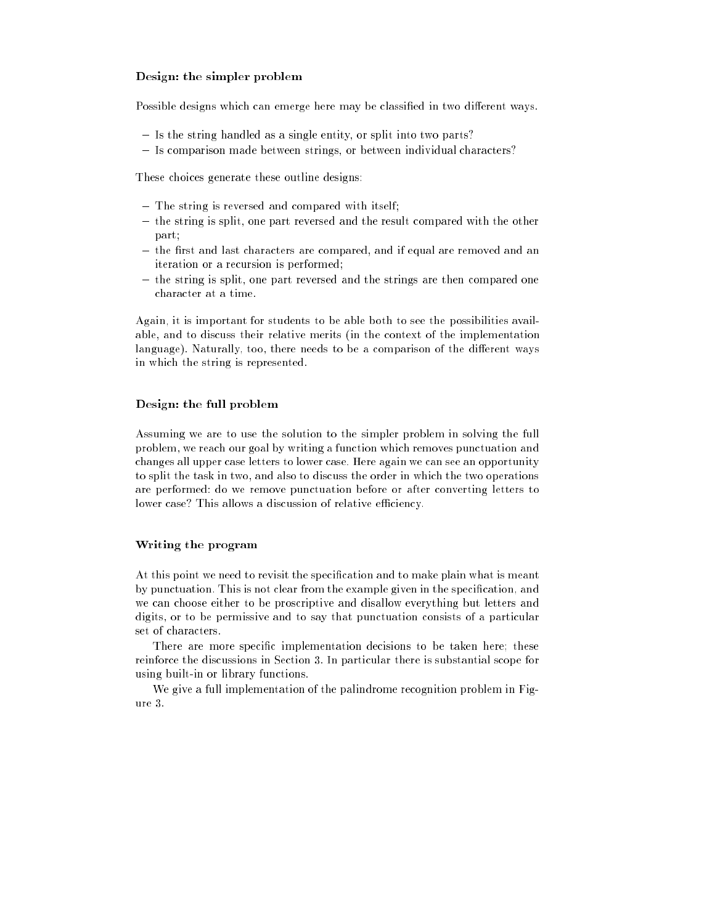### Design: the simpler problem

Possible designs which can emerge here may be classified in two different ways.

- ${\bf x}$  the string name as a single entity, or split into two parts.
- ${\bf r}$  comparison in the between strings, or between individual characters. Or between  ${\bf r}$

These choices generate these outline designs:

- { The string is reversed and compared with itself;
- { the string is split, one part reversed and the result compared with the other part;
- the measure and last characters are compared, and if equal are removed and and iteration or a recursion is performed;
- { the string is split, one part reversed and the strings are then compared one character at a time.

Again, it is important for students to be able both to see the possibilities available, and to discuss their relative merits (in the context of the implementation language). Naturally, too, there needs to be a comparison of the different ways in which the string is represented.

#### Design: the full problem

Assuming we are to use the solution to the simpler problem in solving the full problem, we reach our goal by writing a function which removes punctuation and changes all upper case letters to lower case. Here again we can see an opportunity to split the task in two, and also to discuss the order in which the two operations are performed: do we remove punctuation before or after converting letters to lower case? This allows a discussion of relative efficiency.

# Writing the program

At this point we need to revisit the specication and to make plain what is meant by punctuation. This is not clear from the example given in the specification, and we can choose either to be proscriptive and disallow everything but letters and digits, or to be permissive and to say that punctuation consists of a particular set of characters.

There are more specific implementation decisions to be taken here; these reinforce the discussions in Section 3. In particular there is substantial scope for using built-in or library functions.

We give a full implementation of the palindrome recognition problem in Figure 3.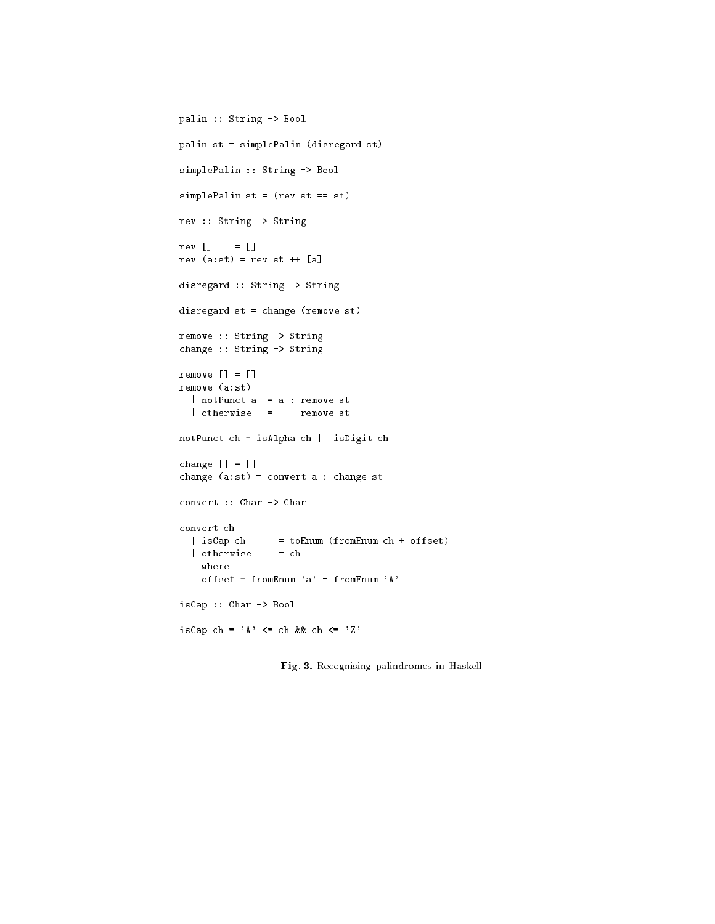```
palin :: String -> Bool
palin st = simplePalin (disregard st)
simplePalin :: String -> Bool
simplePalin st = (rev st == st)
rev :: String -> String
rev \begin{bmatrix} 1 \\ 1 \end{bmatrix} = \begin{bmatrix} 1 \\ 1 \end{bmatrix}rev (a:st) = rev st ++ [a]disregard :: String -> String
disregard st = change (remove st)remove :: String -> String
change :: String -> String
remove [] = []remove (a:st)
  | notPunct a = a : remove st
  | otherwise = remove st
notPunct ch = isAlpha ch || isDigit ch
change [] = []change (a:st) = convert a : change stconvert :: Char -> Char
convert ch
  | isCap ch = toEnum (fromEnum ch + offset)
  | otherwise = ch
    where
    offset = fromEnum 'a' - fromEnum 'A'
isCap :: Char -> Bool
isCap ch = 'A' <= ch && ch <= 'Z'
```
Fig. 3. Recognising palindromes in Haskell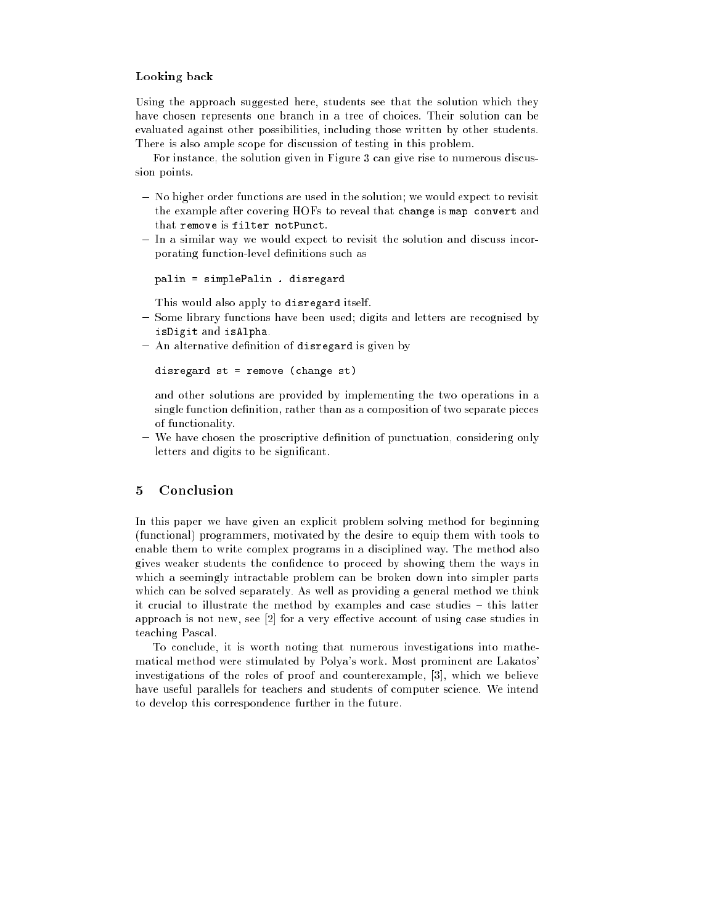### Looking back

Using the approach suggested here, students see that the solution which they have chosen represents one branch in a tree of choices. Their solution can be evaluated against other possibilities, including those written by other students. There is also ample scope for discussion of testing in this problem.

For instance, the solution given in Figure 3 can give rise to numerous discussion points.

- { No higher order functions are used in the solution; we would expect to revisit the example after covering HOFs to reveal that change is map convert and that remove is filter notPunct.
- { In a similar way we would expect to revisit the solution and discuss incorporating function-level definitions such as

```
palin = simplePalin . disregard
```
This would also apply to disregard itself.

- { Some library functions have been used; digits and letters are recognised by isDigit and isAlpha.
- $\cdots$  and  $\cdots$  alternative of disregard is  $\mathcal{A}$  . The distribution of  $\mathcal{A}$

```
disregard st = remove (change st)
```
and other solutions are provided by implementing the two operations in a single function definition, rather than as a composition of two separate pieces of functionality.

 $\mathcal{M}$  is the chosen the proscriptive denimition of punctuation, considering only letters and digits to be signicant.

#### Conclusion  $\mathbf{5}$

In this paper we have given an explicit problem solving method for beginning (functional) programmers, motivated by the desire to equip them with tools to enable them to write complex programs in a disciplined way. The method also gives weaker students the condence to proceed by showing them the ways in which a seemingly intractable problem can be broken down into simpler parts which can be solved separately. As well as providing a general method we think it crucial to illustrate the method by examples and case studies - this latter approach is not new, see  $[2]$  for a very effective account of using case studies in teaching Pascal.

To conclude, it is worth noting that numerous investigations into mathematical method were stimulated by Polya's work. Most prominent are Lakatos' investigations of the roles of proof and counterexample, [3], which we believe have useful parallels for teachers and students of computer science. We intend to develop this correspondence further in the future.